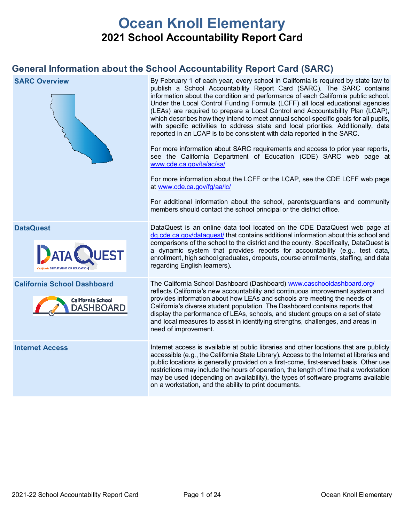# **Ocean Knoll Elementary 2021 School Accountability Report Card**

# **General Information about the School Accountability Report Card (SARC)**

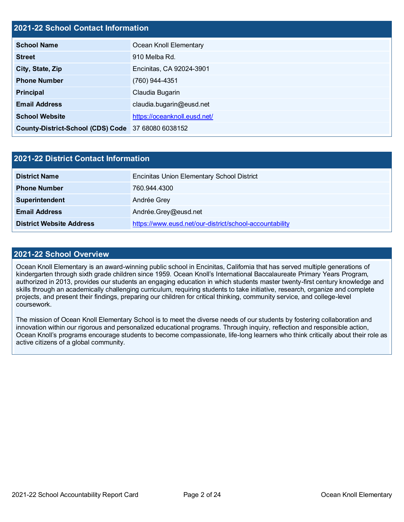### **2021-22 School Contact Information**

| <b>School Name</b>                                 | Ocean Knoll Elementary       |  |  |  |  |
|----------------------------------------------------|------------------------------|--|--|--|--|
| <b>Street</b>                                      | 910 Melba Rd.                |  |  |  |  |
| City, State, Zip                                   | Encinitas, CA 92024-3901     |  |  |  |  |
| <b>Phone Number</b>                                | (760) 944-4351               |  |  |  |  |
| <b>Principal</b>                                   | Claudia Bugarin              |  |  |  |  |
| <b>Email Address</b>                               | claudia.bugarin@eusd.net     |  |  |  |  |
| <b>School Website</b>                              | https://oceanknoll.eusd.net/ |  |  |  |  |
| County-District-School (CDS) Code 37 68080 6038152 |                              |  |  |  |  |

| 2021-22 District Contact Information |                                                         |  |  |  |  |
|--------------------------------------|---------------------------------------------------------|--|--|--|--|
| <b>District Name</b>                 | <b>Encinitas Union Elementary School District</b>       |  |  |  |  |
| <b>Phone Number</b>                  | 760.944.4300                                            |  |  |  |  |
| Superintendent                       | Andrée Grey                                             |  |  |  |  |
| <b>Email Address</b>                 | Andrée.Grey@eusd.net                                    |  |  |  |  |
| <b>District Website Address</b>      | https://www.eusd.net/our-district/school-accountability |  |  |  |  |

### **2021-22 School Overview**

Ocean Knoll Elementary is an award-winning public school in Encinitas, California that has served multiple generations of kindergarten through sixth grade children since 1959. Ocean Knoll's International Baccalaureate Primary Years Program, authorized in 2013, provides our students an engaging education in which students master twenty-first century knowledge and skills through an academically challenging curriculum, requiring students to take initiative, research, organize and complete projects, and present their findings, preparing our children for critical thinking, community service, and college-level coursework.

The mission of Ocean Knoll Elementary School is to meet the diverse needs of our students by fostering collaboration and innovation within our rigorous and personalized educational programs. Through inquiry, reflection and responsible action, Ocean Knoll's programs encourage students to become compassionate, life-long learners who think critically about their role as active citizens of a global community.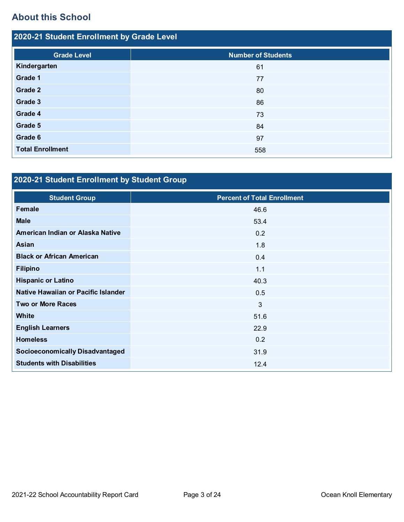# **About this School**

| 2020-21 Student Enrollment by Grade Level |                           |  |  |  |  |
|-------------------------------------------|---------------------------|--|--|--|--|
| <b>Grade Level</b>                        | <b>Number of Students</b> |  |  |  |  |
| Kindergarten                              | 61                        |  |  |  |  |
| Grade 1                                   | 77                        |  |  |  |  |
| Grade 2                                   | 80                        |  |  |  |  |
| Grade 3                                   | 86                        |  |  |  |  |
| Grade 4                                   | 73                        |  |  |  |  |
| Grade 5                                   | 84                        |  |  |  |  |
| Grade 6                                   | 97                        |  |  |  |  |
| <b>Total Enrollment</b>                   | 558                       |  |  |  |  |

# **2020-21 Student Enrollment by Student Group**

| <b>Student Group</b>                   | <b>Percent of Total Enrollment</b> |
|----------------------------------------|------------------------------------|
| <b>Female</b>                          | 46.6                               |
| <b>Male</b>                            | 53.4                               |
| American Indian or Alaska Native       | 0.2                                |
| Asian                                  | 1.8                                |
| <b>Black or African American</b>       | 0.4                                |
| <b>Filipino</b>                        | 1.1                                |
| <b>Hispanic or Latino</b>              | 40.3                               |
| Native Hawaiian or Pacific Islander    | 0.5                                |
| <b>Two or More Races</b>               | $\mathbf{3}$                       |
| <b>White</b>                           | 51.6                               |
| <b>English Learners</b>                | 22.9                               |
| <b>Homeless</b>                        | 0.2                                |
| <b>Socioeconomically Disadvantaged</b> | 31.9                               |
| <b>Students with Disabilities</b>      | 12.4                               |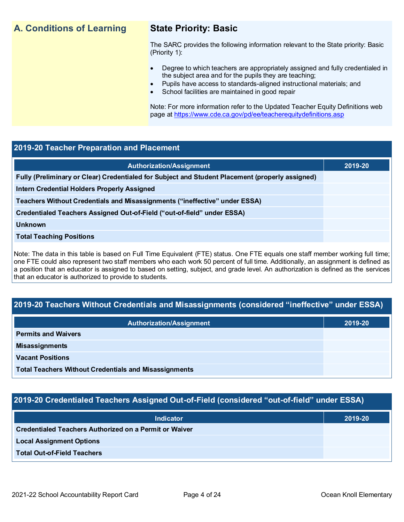# **A. Conditions of Learning State Priority: Basic**

The SARC provides the following information relevant to the State priority: Basic (Priority 1):

- Degree to which teachers are appropriately assigned and fully credentialed in the subject area and for the pupils they are teaching;
	- Pupils have access to standards-aligned instructional materials; and
- School facilities are maintained in good repair

Note: For more information refer to the Updated Teacher Equity Definitions web page at<https://www.cde.ca.gov/pd/ee/teacherequitydefinitions.asp>

### **2019-20 Teacher Preparation and Placement**

| 2019-20 |
|---------|
|         |
|         |
|         |
|         |
|         |
|         |
|         |

Note: The data in this table is based on Full Time Equivalent (FTE) status. One FTE equals one staff member working full time; one FTE could also represent two staff members who each work 50 percent of full time. Additionally, an assignment is defined as a position that an educator is assigned to based on setting, subject, and grade level. An authorization is defined as the services that an educator is authorized to provide to students.

### **2019-20 Teachers Without Credentials and Misassignments (considered "ineffective" under ESSA)**

| <b>Authorization/Assignment</b>                              | 2019-20 |
|--------------------------------------------------------------|---------|
| <b>Permits and Waivers</b>                                   |         |
| <b>Misassignments</b>                                        |         |
| <b>Vacant Positions</b>                                      |         |
| <b>Total Teachers Without Credentials and Misassignments</b> |         |

### **2019-20 Credentialed Teachers Assigned Out-of-Field (considered "out-of-field" under ESSA)**

| <b>Indicator</b>                                              | 2019-20 |
|---------------------------------------------------------------|---------|
| <b>Credentialed Teachers Authorized on a Permit or Waiver</b> |         |
| <b>Local Assignment Options</b>                               |         |
| <b>Total Out-of-Field Teachers</b>                            |         |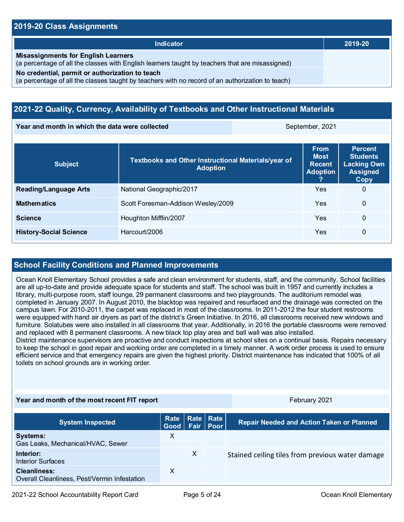### **2019-20 Class Assignments**

| Indicator                                                                                                                                           | 2019-20 |
|-----------------------------------------------------------------------------------------------------------------------------------------------------|---------|
| <b>Misassignments for English Learners</b><br>(a percentage of all the classes with English learners taught by teachers that are misassigned)       |         |
| No credential, permit or authorization to teach<br>(a percentage of all the classes taught by teachers with no record of an authorization to teach) |         |

### **2021-22 Quality, Currency, Availability of Textbooks and Other Instructional Materials**

**Year and month in which the data were collected September, 2021** September, 2021

| <b>Subject</b>                | <b>Textbooks and Other Instructional Materials/year of</b><br><b>Adoption</b> | <b>From</b><br><b>Most</b><br><b>Recent</b><br><b>Adoption</b> | <b>Percent</b><br><b>Students</b><br><b>Lacking Own</b><br><b>Assigned</b><br>Copy |
|-------------------------------|-------------------------------------------------------------------------------|----------------------------------------------------------------|------------------------------------------------------------------------------------|
| <b>Reading/Language Arts</b>  | National Geographic/2017                                                      | Yes                                                            | $\Omega$                                                                           |
| <b>Mathematics</b>            | Scott Foresman-Addison Wesley/2009                                            | Yes                                                            | 0                                                                                  |
| <b>Science</b>                | Houghton Mifflin/2007                                                         | Yes                                                            | 0                                                                                  |
| <b>History-Social Science</b> | Harcourt/2006                                                                 | Yes                                                            | 0                                                                                  |

### **School Facility Conditions and Planned Improvements**

Ocean Knoll Elementary School provides a safe and clean environment for students, staff, and the community. School facilities are all up-to-date and provide adequate space for students and staff. The school was built in 1957 and currently includes a library, multi-purpose room, staff lounge, 29 permanent classrooms and two playgrounds. The auditorium remodel was completed in January 2007. In August 2010, the blacktop was repaired and resurfaced and the drainage was corrected on the campus lawn. For 2010-2011, the carpet was replaced in most of the classrooms. In 2011-2012 the four student restrooms were equipped with hand air dryers as part of the district's Green Initiative. In 2016, all classrooms received new windows and furniture. Solatubes were also installed in all classrooms that year. Additionally, in 2016 the portable classrooms were removed and replaced with 8 permanent classrooms. A new black top play area and ball wall was also installed.

District maintenance supervisors are proactive and conduct inspections at school sites on a continual basis. Repairs necessary to keep the school in good repair and working order are completed in a timely manner. A work order process is used to ensure efficient service and that emergency repairs are given the highest priority. District maintenance has indicated that 100% of all toilets on school grounds are in working order.

### **Year and month of the most recent FIT report** February 2021

| <b>System Inspected</b>                                             | Good Fair Poor |              | Rate   Rate   Rate | <b>Repair Needed and Action Taken or Planned</b> |
|---------------------------------------------------------------------|----------------|--------------|--------------------|--------------------------------------------------|
| <b>Systems:</b><br>Gas Leaks, Mechanical/HVAC, Sewer                | X              |              |                    |                                                  |
| Interior:<br><b>Interior Surfaces</b>                               |                | $\mathsf{X}$ |                    | Stained ceiling tiles from previous water damage |
| <b>Cleanliness:</b><br>Overall Cleanliness, Pest/Vermin Infestation | X              |              |                    |                                                  |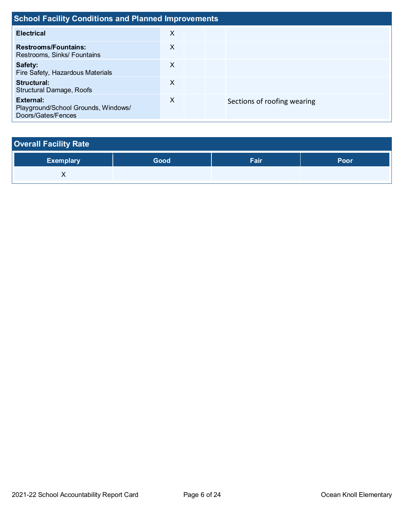| <b>School Facility Conditions and Planned Improvements</b>             |   |  |                             |  |  |
|------------------------------------------------------------------------|---|--|-----------------------------|--|--|
| <b>Electrical</b>                                                      | X |  |                             |  |  |
| <b>Restrooms/Fountains:</b><br>Restrooms, Sinks/ Fountains             | X |  |                             |  |  |
| Safety:<br>Fire Safety, Hazardous Materials                            | X |  |                             |  |  |
| Structural:<br><b>Structural Damage, Roofs</b>                         | X |  |                             |  |  |
| External:<br>Playground/School Grounds, Windows/<br>Doors/Gates/Fences | X |  | Sections of roofing wearing |  |  |

| <b>Overall Facility Rate</b> |      |      |      |  |  |  |
|------------------------------|------|------|------|--|--|--|
| <b>Exemplary</b>             | Good | Fair | Poor |  |  |  |
|                              |      |      |      |  |  |  |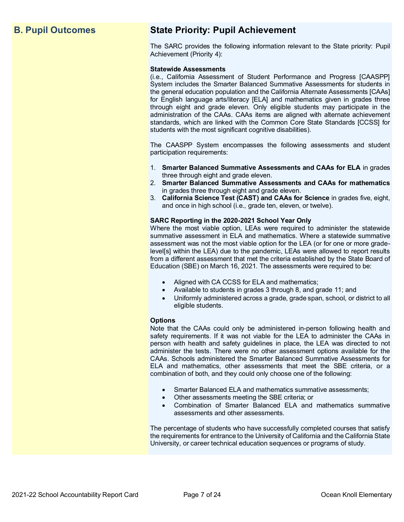# **B. Pupil Outcomes State Priority: Pupil Achievement**

The SARC provides the following information relevant to the State priority: Pupil Achievement (Priority 4):

### **Statewide Assessments**

(i.e., California Assessment of Student Performance and Progress [CAASPP] System includes the Smarter Balanced Summative Assessments for students in the general education population and the California Alternate Assessments [CAAs] for English language arts/literacy [ELA] and mathematics given in grades three through eight and grade eleven. Only eligible students may participate in the administration of the CAAs. CAAs items are aligned with alternate achievement standards, which are linked with the Common Core State Standards [CCSS] for students with the most significant cognitive disabilities).

The CAASPP System encompasses the following assessments and student participation requirements:

- 1. **Smarter Balanced Summative Assessments and CAAs for ELA** in grades three through eight and grade eleven.
- 2. **Smarter Balanced Summative Assessments and CAAs for mathematics** in grades three through eight and grade eleven.
- 3. **California Science Test (CAST) and CAAs for Science** in grades five, eight, and once in high school (i.e., grade ten, eleven, or twelve).

### **SARC Reporting in the 2020-2021 School Year Only**

Where the most viable option, LEAs were required to administer the statewide summative assessment in ELA and mathematics. Where a statewide summative assessment was not the most viable option for the LEA (or for one or more gradelevel[s] within the LEA) due to the pandemic, LEAs were allowed to report results from a different assessment that met the criteria established by the State Board of Education (SBE) on March 16, 2021. The assessments were required to be:

- Aligned with CA CCSS for ELA and mathematics;
- Available to students in grades 3 through 8, and grade 11; and
- Uniformly administered across a grade, grade span, school, or district to all eligible students.

### **Options**

Note that the CAAs could only be administered in-person following health and safety requirements. If it was not viable for the LEA to administer the CAAs in person with health and safety guidelines in place, the LEA was directed to not administer the tests. There were no other assessment options available for the CAAs. Schools administered the Smarter Balanced Summative Assessments for ELA and mathematics, other assessments that meet the SBE criteria, or a combination of both, and they could only choose one of the following:

- Smarter Balanced ELA and mathematics summative assessments;
- Other assessments meeting the SBE criteria; or
- Combination of Smarter Balanced ELA and mathematics summative assessments and other assessments.

The percentage of students who have successfully completed courses that satisfy the requirements for entrance to the University of California and the California State University, or career technical education sequences or programs of study.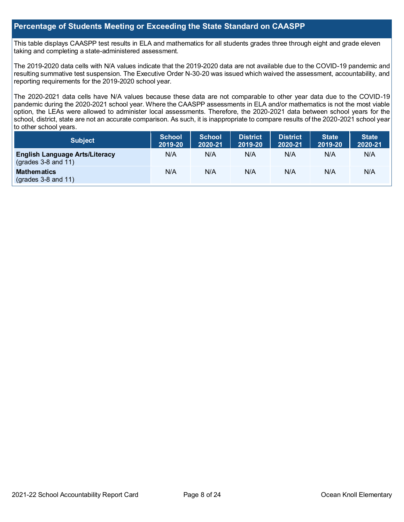### **Percentage of Students Meeting or Exceeding the State Standard on CAASPP**

This table displays CAASPP test results in ELA and mathematics for all students grades three through eight and grade eleven taking and completing a state-administered assessment.

The 2019-2020 data cells with N/A values indicate that the 2019-2020 data are not available due to the COVID-19 pandemic and resulting summative test suspension. The Executive Order N-30-20 was issued which waived the assessment, accountability, and reporting requirements for the 2019-2020 school year.

The 2020-2021 data cells have N/A values because these data are not comparable to other year data due to the COVID-19 pandemic during the 2020-2021 school year. Where the CAASPP assessments in ELA and/or mathematics is not the most viable option, the LEAs were allowed to administer local assessments. Therefore, the 2020-2021 data between school years for the school, district, state are not an accurate comparison. As such, it is inappropriate to compare results of the 2020-2021 school year to other school years.

| <b>Subject</b>                                                       | <b>School</b><br>2019-20 | <b>School</b><br>2020-21 | <b>District</b><br>2019-20 | <b>District</b><br>2020-21 | <b>State</b><br>2019-20 | <b>State</b><br>2020-21 |
|----------------------------------------------------------------------|--------------------------|--------------------------|----------------------------|----------------------------|-------------------------|-------------------------|
| <b>English Language Arts/Literacy</b><br>$\left($ grades 3-8 and 11) | N/A                      | N/A                      | N/A                        | N/A                        | N/A                     | N/A                     |
| <b>Mathematics</b><br>$\left($ grades 3-8 and 11)                    | N/A                      | N/A                      | N/A                        | N/A                        | N/A                     | N/A                     |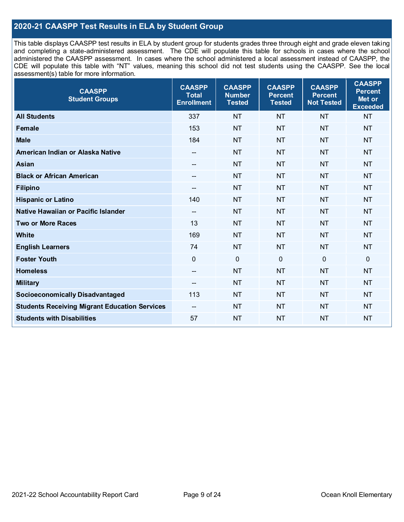### **2020-21 CAASPP Test Results in ELA by Student Group**

This table displays CAASPP test results in ELA by student group for students grades three through eight and grade eleven taking and completing a state-administered assessment. The CDE will populate this table for schools in cases where the school administered the CAASPP assessment. In cases where the school administered a local assessment instead of CAASPP, the CDE will populate this table with "NT" values, meaning this school did not test students using the CAASPP. See the local assessment(s) table for more information.

| <b>CAASPP</b><br><b>Student Groups</b>               | <b>CAASPP</b><br><b>Total</b><br><b>Enrollment</b> | <b>CAASPP</b><br><b>Number</b><br><b>Tested</b> | <b>CAASPP</b><br><b>Percent</b><br><b>Tested</b> | <b>CAASPP</b><br><b>Percent</b><br><b>Not Tested</b> | <b>CAASPP</b><br><b>Percent</b><br>Met or<br><b>Exceeded</b> |
|------------------------------------------------------|----------------------------------------------------|-------------------------------------------------|--------------------------------------------------|------------------------------------------------------|--------------------------------------------------------------|
| <b>All Students</b>                                  | 337                                                | <b>NT</b>                                       | <b>NT</b>                                        | <b>NT</b>                                            | <b>NT</b>                                                    |
| <b>Female</b>                                        | 153                                                | <b>NT</b>                                       | <b>NT</b>                                        | <b>NT</b>                                            | <b>NT</b>                                                    |
| <b>Male</b>                                          | 184                                                | <b>NT</b>                                       | <b>NT</b>                                        | <b>NT</b>                                            | <b>NT</b>                                                    |
| American Indian or Alaska Native                     | --                                                 | <b>NT</b>                                       | <b>NT</b>                                        | <b>NT</b>                                            | <b>NT</b>                                                    |
| <b>Asian</b>                                         | --                                                 | <b>NT</b>                                       | <b>NT</b>                                        | <b>NT</b>                                            | <b>NT</b>                                                    |
| <b>Black or African American</b>                     | --                                                 | <b>NT</b>                                       | <b>NT</b>                                        | <b>NT</b>                                            | <b>NT</b>                                                    |
| <b>Filipino</b>                                      | $-$                                                | <b>NT</b>                                       | <b>NT</b>                                        | <b>NT</b>                                            | <b>NT</b>                                                    |
| <b>Hispanic or Latino</b>                            | 140                                                | <b>NT</b>                                       | <b>NT</b>                                        | <b>NT</b>                                            | <b>NT</b>                                                    |
| Native Hawaiian or Pacific Islander                  | $\overline{\phantom{a}}$                           | <b>NT</b>                                       | <b>NT</b>                                        | <b>NT</b>                                            | <b>NT</b>                                                    |
| <b>Two or More Races</b>                             | 13                                                 | <b>NT</b>                                       | <b>NT</b>                                        | <b>NT</b>                                            | <b>NT</b>                                                    |
| White                                                | 169                                                | <b>NT</b>                                       | <b>NT</b>                                        | <b>NT</b>                                            | <b>NT</b>                                                    |
| <b>English Learners</b>                              | 74                                                 | <b>NT</b>                                       | <b>NT</b>                                        | <b>NT</b>                                            | <b>NT</b>                                                    |
| <b>Foster Youth</b>                                  | $\mathbf 0$                                        | $\mathbf 0$                                     | $\mathbf 0$                                      | $\mathbf 0$                                          | 0                                                            |
| <b>Homeless</b>                                      | $\overline{\phantom{a}}$                           | <b>NT</b>                                       | <b>NT</b>                                        | <b>NT</b>                                            | <b>NT</b>                                                    |
| <b>Military</b>                                      | --                                                 | <b>NT</b>                                       | <b>NT</b>                                        | <b>NT</b>                                            | <b>NT</b>                                                    |
| <b>Socioeconomically Disadvantaged</b>               | 113                                                | <b>NT</b>                                       | <b>NT</b>                                        | <b>NT</b>                                            | <b>NT</b>                                                    |
| <b>Students Receiving Migrant Education Services</b> | --                                                 | <b>NT</b>                                       | <b>NT</b>                                        | <b>NT</b>                                            | <b>NT</b>                                                    |
| <b>Students with Disabilities</b>                    | 57                                                 | <b>NT</b>                                       | <b>NT</b>                                        | <b>NT</b>                                            | <b>NT</b>                                                    |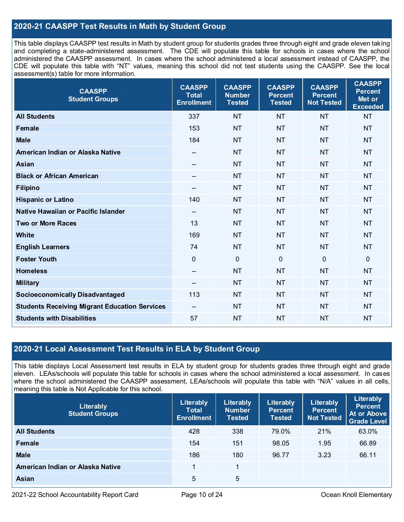### **2020-21 CAASPP Test Results in Math by Student Group**

This table displays CAASPP test results in Math by student group for students grades three through eight and grade eleven taking and completing a state-administered assessment. The CDE will populate this table for schools in cases where the school administered the CAASPP assessment. In cases where the school administered a local assessment instead of CAASPP, the CDE will populate this table with "NT" values, meaning this school did not test students using the CAASPP. See the local assessment(s) table for more information.

| <b>CAASPP</b><br><b>Student Groups</b>               | <b>CAASPP</b><br><b>Total</b><br><b>Enrollment</b> | <b>CAASPP</b><br><b>Number</b><br><b>Tested</b> | <b>CAASPP</b><br><b>Percent</b><br><b>Tested</b> | <b>CAASPP</b><br><b>Percent</b><br><b>Not Tested</b> | <b>CAASPP</b><br><b>Percent</b><br>Met or<br><b>Exceeded</b> |
|------------------------------------------------------|----------------------------------------------------|-------------------------------------------------|--------------------------------------------------|------------------------------------------------------|--------------------------------------------------------------|
| <b>All Students</b>                                  | 337                                                | <b>NT</b>                                       | <b>NT</b>                                        | <b>NT</b>                                            | <b>NT</b>                                                    |
| Female                                               | 153                                                | <b>NT</b>                                       | <b>NT</b>                                        | <b>NT</b>                                            | <b>NT</b>                                                    |
| <b>Male</b>                                          | 184                                                | <b>NT</b>                                       | <b>NT</b>                                        | <b>NT</b>                                            | <b>NT</b>                                                    |
| American Indian or Alaska Native                     | $\hspace{0.05cm}$ – $\hspace{0.05cm}$              | <b>NT</b>                                       | <b>NT</b>                                        | <b>NT</b>                                            | <b>NT</b>                                                    |
| <b>Asian</b>                                         |                                                    | <b>NT</b>                                       | <b>NT</b>                                        | <b>NT</b>                                            | <b>NT</b>                                                    |
| <b>Black or African American</b>                     | $\overline{\phantom{a}}$                           | <b>NT</b>                                       | <b>NT</b>                                        | <b>NT</b>                                            | <b>NT</b>                                                    |
| <b>Filipino</b>                                      | $\hspace{0.05cm}$ – $\hspace{0.05cm}$              | <b>NT</b>                                       | <b>NT</b>                                        | <b>NT</b>                                            | <b>NT</b>                                                    |
| <b>Hispanic or Latino</b>                            | 140                                                | <b>NT</b>                                       | <b>NT</b>                                        | <b>NT</b>                                            | <b>NT</b>                                                    |
| Native Hawaiian or Pacific Islander                  | $\hspace{0.05cm}$ – $\hspace{0.05cm}$              | <b>NT</b>                                       | <b>NT</b>                                        | <b>NT</b>                                            | <b>NT</b>                                                    |
| <b>Two or More Races</b>                             | 13                                                 | <b>NT</b>                                       | <b>NT</b>                                        | <b>NT</b>                                            | <b>NT</b>                                                    |
| <b>White</b>                                         | 169                                                | <b>NT</b>                                       | <b>NT</b>                                        | <b>NT</b>                                            | <b>NT</b>                                                    |
| <b>English Learners</b>                              | 74                                                 | <b>NT</b>                                       | <b>NT</b>                                        | <b>NT</b>                                            | <b>NT</b>                                                    |
| <b>Foster Youth</b>                                  | $\mathbf 0$                                        | $\mathbf 0$                                     | $\mathbf{0}$                                     | $\mathbf 0$                                          | $\mathbf 0$                                                  |
| <b>Homeless</b>                                      | $\overline{\phantom{a}}$                           | <b>NT</b>                                       | <b>NT</b>                                        | <b>NT</b>                                            | <b>NT</b>                                                    |
| <b>Military</b>                                      | $\overline{\phantom{a}}$                           | <b>NT</b>                                       | <b>NT</b>                                        | <b>NT</b>                                            | <b>NT</b>                                                    |
| <b>Socioeconomically Disadvantaged</b>               | 113                                                | <b>NT</b>                                       | <b>NT</b>                                        | <b>NT</b>                                            | <b>NT</b>                                                    |
| <b>Students Receiving Migrant Education Services</b> |                                                    | <b>NT</b>                                       | <b>NT</b>                                        | <b>NT</b>                                            | <b>NT</b>                                                    |
| <b>Students with Disabilities</b>                    | 57                                                 | <b>NT</b>                                       | <b>NT</b>                                        | <b>NT</b>                                            | <b>NT</b>                                                    |

### **2020-21 Local Assessment Test Results in ELA by Student Group**

This table displays Local Assessment test results in ELA by student group for students grades three through eight and grade eleven. LEAs/schools will populate this table for schools in cases where the school administered a local assessment. In cases where the school administered the CAASPP assessment, LEAs/schools will populate this table with "N/A" values in all cells, meaning this table is Not Applicable for this school.

| Literably<br><b>Student Groups</b> | Literably<br>Total<br><b>Enrollment</b> | Literably<br><b>Number</b><br><b>Tested</b> | Literably<br><b>Percent</b><br><b>Tested</b> | Literably<br><b>Percent</b><br>Not Tested | Literably<br><b>Percent</b><br><b>At or Above</b><br><b>Grade Level</b> |
|------------------------------------|-----------------------------------------|---------------------------------------------|----------------------------------------------|-------------------------------------------|-------------------------------------------------------------------------|
| <b>All Students</b>                | 428                                     | 338                                         | 79.0%                                        | 21%                                       | 63.0%                                                                   |
| Female                             | 154                                     | 151                                         | 98.05                                        | 1.95                                      | 66.89                                                                   |
| <b>Male</b>                        | 186                                     | 180                                         | 96.77                                        | 3.23                                      | 66.11                                                                   |
| American Indian or Alaska Native   |                                         | 1                                           |                                              |                                           |                                                                         |
| Asian                              | 5                                       | 5                                           |                                              |                                           |                                                                         |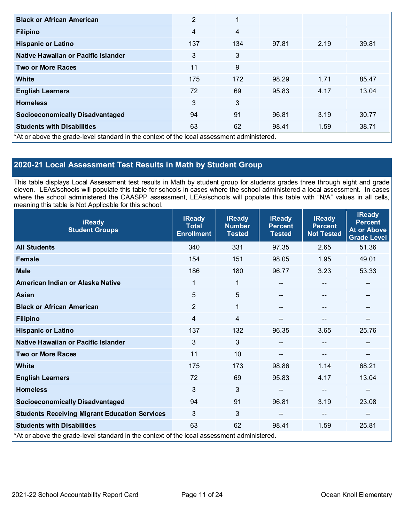| <b>Black or African American</b>                                                           | $\overline{2}$ | 1   |       |      |       |
|--------------------------------------------------------------------------------------------|----------------|-----|-------|------|-------|
| <b>Filipino</b>                                                                            | $\overline{4}$ | 4   |       |      |       |
| <b>Hispanic or Latino</b>                                                                  | 137            | 134 | 97.81 | 2.19 | 39.81 |
| Native Hawaiian or Pacific Islander                                                        | 3              | 3   |       |      |       |
| <b>Two or More Races</b>                                                                   | 11             | 9   |       |      |       |
| White                                                                                      | 175            | 172 | 98.29 | 1.71 | 85.47 |
| <b>English Learners</b>                                                                    | 72             | 69  | 95.83 | 4.17 | 13.04 |
| <b>Homeless</b>                                                                            | 3              | 3   |       |      |       |
| <b>Socioeconomically Disadvantaged</b>                                                     | 94             | 91  | 96.81 | 3.19 | 30.77 |
| <b>Students with Disabilities</b>                                                          | 63             | 62  | 98.41 | 1.59 | 38.71 |
| *At or above the grade-level standard in the context of the local assessment administered. |                |     |       |      |       |

## **2020-21 Local Assessment Test Results in Math by Student Group**

This table displays Local Assessment test results in Math by student group for students grades three through eight and grade eleven. LEAs/schools will populate this table for schools in cases where the school administered a local assessment. In cases where the school administered the CAASPP assessment, LEAs/schools will populate this table with "N/A" values in all cells, meaning this table is Not Applicable for this school.

| <b>iReady</b><br><b>Student Groups</b>                                                     | <b>iReady</b><br><b>Total</b><br><b>Enrollment</b> | <b>iReady</b><br><b>Number</b><br><b>Tested</b> | <b>iReady</b><br><b>Percent</b><br><b>Tested</b> | <b>iReady</b><br><b>Percent</b><br><b>Not Tested</b> | <b>iReady</b><br><b>Percent</b><br><b>At or Above</b><br><b>Grade Level</b> |
|--------------------------------------------------------------------------------------------|----------------------------------------------------|-------------------------------------------------|--------------------------------------------------|------------------------------------------------------|-----------------------------------------------------------------------------|
| <b>All Students</b>                                                                        | 340                                                | 331                                             | 97.35                                            | 2.65                                                 | 51.36                                                                       |
| <b>Female</b>                                                                              | 154                                                | 151                                             | 98.05                                            | 1.95                                                 | 49.01                                                                       |
| <b>Male</b>                                                                                | 186                                                | 180                                             | 96.77                                            | 3.23                                                 | 53.33                                                                       |
| American Indian or Alaska Native                                                           | 1                                                  | 1                                               |                                                  | $-$                                                  | $- -$                                                                       |
| <b>Asian</b>                                                                               | 5                                                  | $5\phantom{.0}$                                 |                                                  |                                                      | --                                                                          |
| <b>Black or African American</b>                                                           | $\overline{2}$                                     | 1                                               |                                                  | $-$                                                  | --                                                                          |
| <b>Filipino</b>                                                                            | 4                                                  | $\overline{4}$                                  |                                                  |                                                      |                                                                             |
| <b>Hispanic or Latino</b>                                                                  | 137                                                | 132                                             | 96.35                                            | 3.65                                                 | 25.76                                                                       |
| Native Hawaiian or Pacific Islander                                                        | 3                                                  | $\mathfrak{S}$                                  |                                                  | $\qquad \qquad \blacksquare$                         |                                                                             |
| <b>Two or More Races</b>                                                                   | 11                                                 | 10                                              |                                                  | --                                                   | --                                                                          |
| <b>White</b>                                                                               | 175                                                | 173                                             | 98.86                                            | 1.14                                                 | 68.21                                                                       |
| <b>English Learners</b>                                                                    | 72                                                 | 69                                              | 95.83                                            | 4.17                                                 | 13.04                                                                       |
| <b>Homeless</b>                                                                            | 3                                                  | 3                                               |                                                  | --                                                   | --                                                                          |
| <b>Socioeconomically Disadvantaged</b>                                                     | 94                                                 | 91                                              | 96.81                                            | 3.19                                                 | 23.08                                                                       |
| <b>Students Receiving Migrant Education Services</b>                                       | 3                                                  | 3                                               | --                                               | $-$                                                  | $- -$                                                                       |
| <b>Students with Disabilities</b>                                                          | 63                                                 | 62                                              | 98.41                                            | 1.59                                                 | 25.81                                                                       |
| *At or above the grade-level standard in the context of the local assessment administered. |                                                    |                                                 |                                                  |                                                      |                                                                             |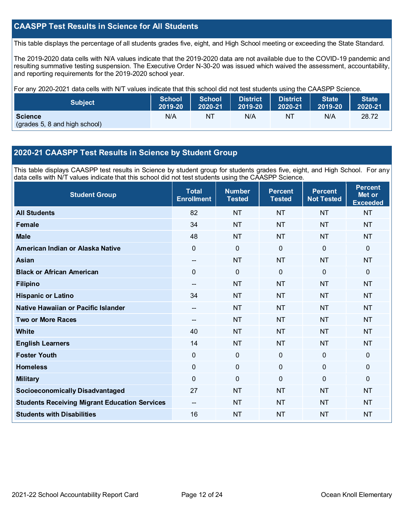### **CAASPP Test Results in Science for All Students**

This table displays the percentage of all students grades five, eight, and High School meeting or exceeding the State Standard.

The 2019-2020 data cells with N/A values indicate that the 2019-2020 data are not available due to the COVID-19 pandemic and resulting summative testing suspension. The Executive Order N-30-20 was issued which waived the assessment, accountability, and reporting requirements for the 2019-2020 school year.

For any 2020-2021 data cells with N/T values indicate that this school did not test students using the CAASPP Science.

| <b>Subject</b>                                  | <b>School</b> | <b>School</b> | <b>District</b> | <b>District</b> | <b>State</b> | <b>State</b> |
|-------------------------------------------------|---------------|---------------|-----------------|-----------------|--------------|--------------|
|                                                 | 2019-20       | 2020-21       | 2019-20         | 2020-21         | 2019-20      | 2020-21      |
| <b>Science</b><br>(grades 5, 8 and high school) | N/A           | NT            | N/A             | NT              | N/A          | 28.72        |

### **2020-21 CAASPP Test Results in Science by Student Group**

This table displays CAASPP test results in Science by student group for students grades five, eight, and High School. For any data cells with N/T values indicate that this school did not test students using the CAASPP Science.

| <b>Student Group</b>                                 | <b>Total</b><br><b>Enrollment</b> | <b>Number</b><br><b>Tested</b> | <b>Percent</b><br><b>Tested</b> | <b>Percent</b><br><b>Not Tested</b> | <b>Percent</b><br>Met or<br><b>Exceeded</b> |
|------------------------------------------------------|-----------------------------------|--------------------------------|---------------------------------|-------------------------------------|---------------------------------------------|
| <b>All Students</b>                                  | 82                                | <b>NT</b>                      | <b>NT</b>                       | <b>NT</b>                           | <b>NT</b>                                   |
| <b>Female</b>                                        | 34                                | <b>NT</b>                      | <b>NT</b>                       | <b>NT</b>                           | <b>NT</b>                                   |
| <b>Male</b>                                          | 48                                | <b>NT</b>                      | <b>NT</b>                       | <b>NT</b>                           | <b>NT</b>                                   |
| American Indian or Alaska Native                     | 0                                 | $\mathbf 0$                    | $\mathbf{0}$                    | $\mathbf 0$                         | $\mathbf 0$                                 |
| <b>Asian</b>                                         | $-$                               | <b>NT</b>                      | <b>NT</b>                       | <b>NT</b>                           | <b>NT</b>                                   |
| <b>Black or African American</b>                     | 0                                 | $\mathbf 0$                    | $\mathbf 0$                     | $\mathbf 0$                         | $\mathbf 0$                                 |
| <b>Filipino</b>                                      | $-$                               | <b>NT</b>                      | <b>NT</b>                       | <b>NT</b>                           | <b>NT</b>                                   |
| <b>Hispanic or Latino</b>                            | 34                                | <b>NT</b>                      | <b>NT</b>                       | <b>NT</b>                           | <b>NT</b>                                   |
| Native Hawaiian or Pacific Islander                  | --                                | <b>NT</b>                      | <b>NT</b>                       | <b>NT</b>                           | <b>NT</b>                                   |
| <b>Two or More Races</b>                             |                                   | <b>NT</b>                      | <b>NT</b>                       | <b>NT</b>                           | <b>NT</b>                                   |
| <b>White</b>                                         | 40                                | <b>NT</b>                      | <b>NT</b>                       | <b>NT</b>                           | <b>NT</b>                                   |
| <b>English Learners</b>                              | 14                                | <b>NT</b>                      | <b>NT</b>                       | <b>NT</b>                           | <b>NT</b>                                   |
| <b>Foster Youth</b>                                  | 0                                 | $\mathbf 0$                    | $\mathbf 0$                     | $\mathbf 0$                         | $\mathbf 0$                                 |
| <b>Homeless</b>                                      | 0                                 | $\mathbf 0$                    | $\mathbf 0$                     | $\mathbf 0$                         | $\mathbf 0$                                 |
| <b>Military</b>                                      | 0                                 | $\mathbf 0$                    | $\mathbf{0}$                    | $\mathbf 0$                         | $\Omega$                                    |
| <b>Socioeconomically Disadvantaged</b>               | 27                                | <b>NT</b>                      | <b>NT</b>                       | <b>NT</b>                           | <b>NT</b>                                   |
| <b>Students Receiving Migrant Education Services</b> |                                   | <b>NT</b>                      | <b>NT</b>                       | <b>NT</b>                           | <b>NT</b>                                   |
| <b>Students with Disabilities</b>                    | 16                                | <b>NT</b>                      | <b>NT</b>                       | <b>NT</b>                           | <b>NT</b>                                   |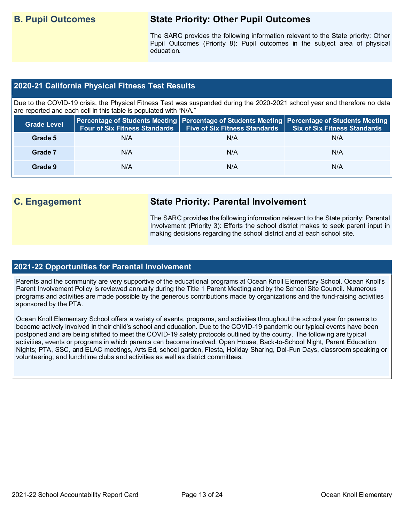# **B. Pupil Outcomes State Priority: Other Pupil Outcomes**

The SARC provides the following information relevant to the State priority: Other Pupil Outcomes (Priority 8): Pupil outcomes in the subject area of physical education.

### **2020-21 California Physical Fitness Test Results**

Due to the COVID-19 crisis, the Physical Fitness Test was suspended during the 2020-2021 school year and therefore no data are reported and each cell in this table is populated with "N/A."

| <b>Grade Level</b> | <b>Four of Six Fitness Standards</b> | Five of Six Fitness Standards   Six of Six Fitness Standards | Percentage of Students Meeting Percentage of Students Meeting Percentage of Students Meeting |
|--------------------|--------------------------------------|--------------------------------------------------------------|----------------------------------------------------------------------------------------------|
| Grade 5            | N/A                                  | N/A                                                          | N/A                                                                                          |
| Grade 7            | N/A                                  | N/A                                                          | N/A                                                                                          |
| Grade 9            | N/A                                  | N/A                                                          | N/A                                                                                          |

# **C. Engagement State Priority: Parental Involvement**

The SARC provides the following information relevant to the State priority: Parental Involvement (Priority 3): Efforts the school district makes to seek parent input in making decisions regarding the school district and at each school site.

### **2021-22 Opportunities for Parental Involvement**

Parents and the community are very supportive of the educational programs at Ocean Knoll Elementary School. Ocean Knoll's Parent Involvement Policy is reviewed annually during the Title 1 Parent Meeting and by the School Site Council. Numerous programs and activities are made possible by the generous contributions made by organizations and the fund-raising activities sponsored by the PTA.

Ocean Knoll Elementary School offers a variety of events, programs, and activities throughout the school year for parents to become actively involved in their child's school and education. Due to the COVID-19 pandemic our typical events have been postponed and are being shifted to meet the COVID-19 safety protocols outlined by the county. The following are typical activities, events or programs in which parents can become involved: Open House, Back-to-School Night, Parent Education Nights; PTA, SSC, and ELAC meetings, Arts Ed, school garden, Fiesta, Holiday Sharing, Dol-Fun Days, classroom speaking or volunteering; and lunchtime clubs and activities as well as district committees.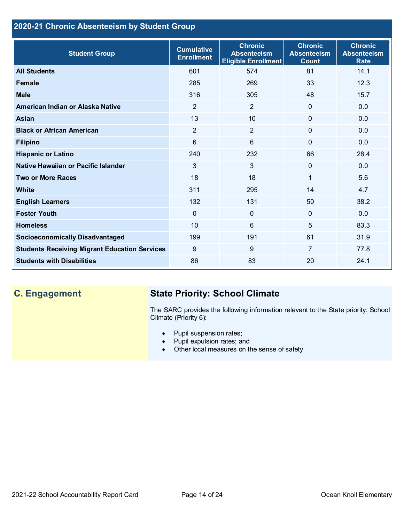# **2020-21 Chronic Absenteeism by Student Group**

| <b>Student Group</b>                                 | <b>Cumulative</b><br><b>Enrollment</b> | <b>Chronic</b><br><b>Absenteeism</b><br><b>Eligible Enrollment</b> | <b>Chronic</b><br><b>Absenteeism</b><br><b>Count</b> | <b>Chronic</b><br><b>Absenteeism</b><br><b>Rate</b> |
|------------------------------------------------------|----------------------------------------|--------------------------------------------------------------------|------------------------------------------------------|-----------------------------------------------------|
| <b>All Students</b>                                  | 601                                    | 574                                                                | 81                                                   | 14.1                                                |
| <b>Female</b>                                        | 285                                    | 269                                                                | 33                                                   | 12.3                                                |
| <b>Male</b>                                          | 316                                    | 305                                                                | 48                                                   | 15.7                                                |
| American Indian or Alaska Native                     | $\overline{2}$                         | $\overline{2}$                                                     | $\mathbf{0}$                                         | 0.0                                                 |
| <b>Asian</b>                                         | 13                                     | 10                                                                 | $\mathbf 0$                                          | 0.0                                                 |
| <b>Black or African American</b>                     | $\overline{2}$                         | $\overline{2}$                                                     | $\mathbf 0$                                          | 0.0                                                 |
| <b>Filipino</b>                                      | 6                                      | $6\phantom{1}$                                                     | $\Omega$                                             | 0.0                                                 |
| <b>Hispanic or Latino</b>                            | 240                                    | 232                                                                | 66                                                   | 28.4                                                |
| Native Hawaiian or Pacific Islander                  | 3                                      | $\mathfrak{S}$                                                     | 0                                                    | 0.0                                                 |
| <b>Two or More Races</b>                             | 18                                     | 18                                                                 | 1                                                    | 5.6                                                 |
| <b>White</b>                                         | 311                                    | 295                                                                | 14                                                   | 4.7                                                 |
| <b>English Learners</b>                              | 132                                    | 131                                                                | 50                                                   | 38.2                                                |
| <b>Foster Youth</b>                                  | $\mathbf{0}$                           | $\overline{0}$                                                     | $\Omega$                                             | 0.0                                                 |
| <b>Homeless</b>                                      | 10                                     | $6\phantom{1}$                                                     | 5                                                    | 83.3                                                |
| <b>Socioeconomically Disadvantaged</b>               | 199                                    | 191                                                                | 61                                                   | 31.9                                                |
| <b>Students Receiving Migrant Education Services</b> | 9                                      | $9\,$                                                              | 7                                                    | 77.8                                                |
| <b>Students with Disabilities</b>                    | 86                                     | 83                                                                 | 20                                                   | 24.1                                                |

# **C. Engagement State Priority: School Climate**

The SARC provides the following information relevant to the State priority: School Climate (Priority 6):

- Pupil suspension rates;
- Pupil expulsion rates; and
- Other local measures on the sense of safety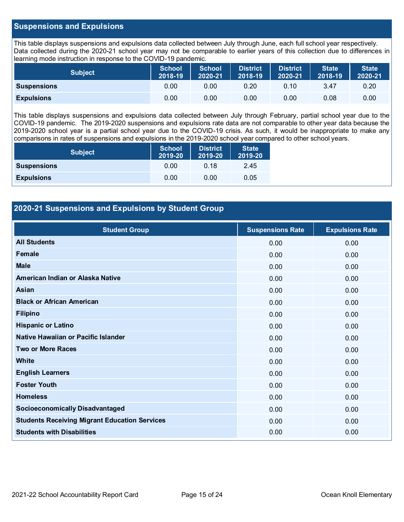### **Suspensions and Expulsions**

This table displays suspensions and expulsions data collected between July through June, each full school year respectively. Data collected during the 2020-21 school year may not be comparable to earlier years of this collection due to differences in learning mode instruction in response to the COVID-19 pandemic.

| <b>Subject</b>     | <b>School</b><br>2018-19 | <b>School</b><br>2020-21 | <b>District</b><br>2018-19 | <b>District</b><br>2020-21 | <b>State</b><br>2018-19 | <b>State</b><br>2020-21 |
|--------------------|--------------------------|--------------------------|----------------------------|----------------------------|-------------------------|-------------------------|
| <b>Suspensions</b> | 0.00                     | 0.00                     | 0.20                       | 0.10                       | 3.47                    | 0.20                    |
| <b>Expulsions</b>  | 0.00                     | 0.00                     | 0.00                       | 0.00                       | 0.08                    | 0.00                    |

This table displays suspensions and expulsions data collected between July through February, partial school year due to the COVID-19 pandemic. The 2019-2020 suspensions and expulsions rate data are not comparable to other year data because the 2019-2020 school year is a partial school year due to the COVID-19 crisis. As such, it would be inappropriate to make any comparisons in rates of suspensions and expulsions in the 2019-2020 school year compared to other school years.

| <b>Subject</b>     | <b>School</b><br>2019-20 | <b>District</b><br>2019-20 | <b>State</b><br>2019-20 |
|--------------------|--------------------------|----------------------------|-------------------------|
| <b>Suspensions</b> | 0.00                     | 0.18                       | 2.45                    |
| <b>Expulsions</b>  | 0.00                     | 0.00                       | 0.05                    |

### **2020-21 Suspensions and Expulsions by Student Group**

| <b>Student Group</b>                                 | <b>Suspensions Rate</b> | <b>Expulsions Rate</b> |
|------------------------------------------------------|-------------------------|------------------------|
| <b>All Students</b>                                  | 0.00                    | 0.00                   |
| Female                                               | 0.00                    | 0.00                   |
| <b>Male</b>                                          | 0.00                    | 0.00                   |
| American Indian or Alaska Native                     | 0.00                    | 0.00                   |
| Asian                                                | 0.00                    | 0.00                   |
| <b>Black or African American</b>                     | 0.00                    | 0.00                   |
| <b>Filipino</b>                                      | 0.00                    | 0.00                   |
| <b>Hispanic or Latino</b>                            | 0.00                    | 0.00                   |
| Native Hawaiian or Pacific Islander                  | 0.00                    | 0.00                   |
| <b>Two or More Races</b>                             | 0.00                    | 0.00                   |
| <b>White</b>                                         | 0.00                    | 0.00                   |
| <b>English Learners</b>                              | 0.00                    | 0.00                   |
| <b>Foster Youth</b>                                  | 0.00                    | 0.00                   |
| <b>Homeless</b>                                      | 0.00                    | 0.00                   |
| <b>Socioeconomically Disadvantaged</b>               | 0.00                    | 0.00                   |
| <b>Students Receiving Migrant Education Services</b> | 0.00                    | 0.00                   |
| <b>Students with Disabilities</b>                    | 0.00                    | 0.00                   |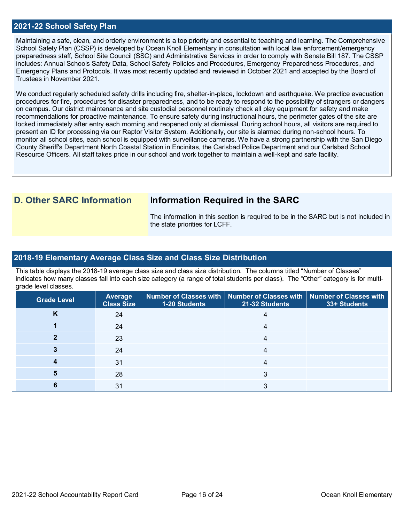### **2021-22 School Safety Plan**

Maintaining a safe, clean, and orderly environment is a top priority and essential to teaching and learning. The Comprehensive School Safety Plan (CSSP) is developed by Ocean Knoll Elementary in consultation with local law enforcement/emergency preparedness staff, School Site Council (SSC) and Administrative Services in order to comply with Senate Bill 187. The CSSP includes: Annual Schools Safety Data, School Safety Policies and Procedures, Emergency Preparedness Procedures, and Emergency Plans and Protocols. It was most recently updated and reviewed in October 2021 and accepted by the Board of Trustees in November 2021.

We conduct regularly scheduled safety drills including fire, shelter-in-place, lockdown and earthquake. We practice evacuation procedures for fire, procedures for disaster preparedness, and to be ready to respond to the possibility of strangers or dangers on campus. Our district maintenance and site custodial personnel routinely check all play equipment for safety and make recommendations for proactive maintenance. To ensure safety during instructional hours, the perimeter gates of the site are locked immediately after entry each morning and reopened only at dismissal. During school hours, all visitors are required to present an ID for processing via our Raptor Visitor System. Additionally, our site is alarmed during non-school hours. To monitor all school sites, each school is equipped with surveillance cameras. We have a strong partnership with the San Diego County Sheriff's Department North Coastal Station in Encinitas, the Carlsbad Police Department and our Carlsbad School Resource Officers. All staff takes pride in our school and work together to maintain a well-kept and safe facility.

# **D. Other SARC Information Information Required in the SARC**

The information in this section is required to be in the SARC but is not included in the state priorities for LCFF.

### **2018-19 Elementary Average Class Size and Class Size Distribution**

This table displays the 2018-19 average class size and class size distribution. The columns titled "Number of Classes" indicates how many classes fall into each size category (a range of total students per class). The "Other" category is for multigrade level classes.

| <b>Grade Level</b> | <b>Average</b><br><b>Class Size</b> | 1-20 Students | Number of Classes with   Number of Classes with   Number of Classes with<br>21-32 Students | 33+ Students |
|--------------------|-------------------------------------|---------------|--------------------------------------------------------------------------------------------|--------------|
| n.                 | 24                                  |               |                                                                                            |              |
|                    | 24                                  |               |                                                                                            |              |
|                    | 23                                  |               | 4                                                                                          |              |
|                    | 24                                  |               |                                                                                            |              |
|                    | 31                                  |               | 4                                                                                          |              |
|                    | 28                                  |               |                                                                                            |              |
|                    | 31                                  |               |                                                                                            |              |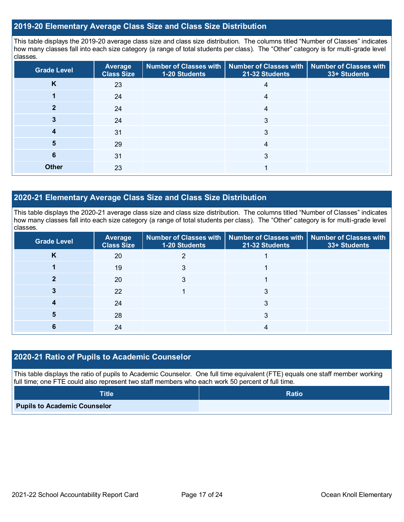### **2019-20 Elementary Average Class Size and Class Size Distribution**

This table displays the 2019-20 average class size and class size distribution. The columns titled "Number of Classes" indicates how many classes fall into each size category (a range of total students per class). The "Other" category is for multi-grade level classes.

| <b>Grade Level</b> | <b>Average</b><br><b>Class Size</b> | 1-20 Students | Number of Classes with   Number of Classes with   Number of Classes with<br>21-32 Students | 33+ Students |
|--------------------|-------------------------------------|---------------|--------------------------------------------------------------------------------------------|--------------|
| K                  | 23                                  |               | 4                                                                                          |              |
|                    | 24                                  |               | 4                                                                                          |              |
|                    | 24                                  |               | 4                                                                                          |              |
|                    | 24                                  |               | 3                                                                                          |              |
|                    | 31                                  |               | 3                                                                                          |              |
| 5                  | 29                                  |               | 4                                                                                          |              |
| 6                  | 31                                  |               | 3                                                                                          |              |
| <b>Other</b>       | 23                                  |               |                                                                                            |              |

### **2020-21 Elementary Average Class Size and Class Size Distribution**

This table displays the 2020-21 average class size and class size distribution. The columns titled "Number of Classes" indicates how many classes fall into each size category (a range of total students per class). The "Other" category is for multi-grade level classes.

| <b>Grade Level</b> | Average<br><b>Class Size</b> | 1-20 Students | Number of Classes with   Number of Classes with   Number of Classes with<br>21-32 Students | 33+ Students |
|--------------------|------------------------------|---------------|--------------------------------------------------------------------------------------------|--------------|
| ĸ                  | 20                           |               |                                                                                            |              |
|                    | 19                           | 3             |                                                                                            |              |
|                    | 20                           | 3             |                                                                                            |              |
|                    | 22                           |               | 3                                                                                          |              |
|                    | 24                           |               | 3                                                                                          |              |
| 5                  | 28                           |               | 3                                                                                          |              |
|                    | 24                           |               | 4                                                                                          |              |

### **2020-21 Ratio of Pupils to Academic Counselor**

This table displays the ratio of pupils to Academic Counselor. One full time equivalent (FTE) equals one staff member working full time; one FTE could also represent two staff members who each work 50 percent of full time.

| <b>Title</b>                        | <b>Ratio</b> |
|-------------------------------------|--------------|
| <b>Pupils to Academic Counselor</b> |              |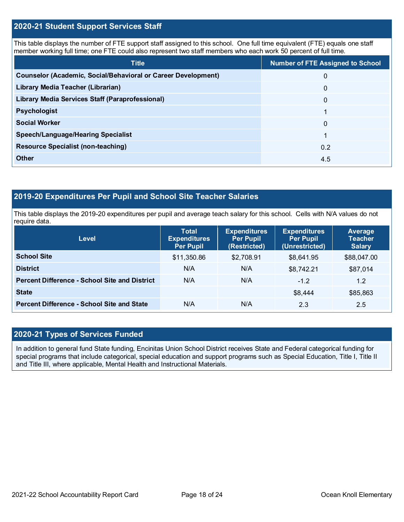### **2020-21 Student Support Services Staff**

This table displays the number of FTE support staff assigned to this school. One full time equivalent (FTE) equals one staff member working full time; one FTE could also represent two staff members who each work 50 percent of full time.

| <b>Title</b>                                                         | <b>Number of FTE Assigned to School</b> |
|----------------------------------------------------------------------|-----------------------------------------|
| <b>Counselor (Academic, Social/Behavioral or Career Development)</b> | 0                                       |
| Library Media Teacher (Librarian)                                    | $\mathbf{0}$                            |
| <b>Library Media Services Staff (Paraprofessional)</b>               | $\mathbf{0}$                            |
| <b>Psychologist</b>                                                  |                                         |
| <b>Social Worker</b>                                                 | $\Omega$                                |
| <b>Speech/Language/Hearing Specialist</b>                            | 1                                       |
| <b>Resource Specialist (non-teaching)</b>                            | 0.2                                     |
| Other                                                                | 4.5                                     |

## **2019-20 Expenditures Per Pupil and School Site Teacher Salaries**

This table displays the 2019-20 expenditures per pupil and average teach salary for this school. Cells with N/A values do not require data.

| <b>Level</b>                                         | <b>Total</b><br><b>Expenditures</b><br><b>Per Pupil</b> | <b>Expenditures</b><br><b>Per Pupil</b><br>(Restricted) | <b>Expenditures</b><br><b>Per Pupil</b><br>(Unrestricted) | Average<br><b>Teacher</b><br><b>Salary</b> |
|------------------------------------------------------|---------------------------------------------------------|---------------------------------------------------------|-----------------------------------------------------------|--------------------------------------------|
| <b>School Site</b>                                   | \$11,350.86                                             | \$2,708.91                                              | \$8,641.95                                                | \$88,047.00                                |
| <b>District</b>                                      | N/A                                                     | N/A                                                     | \$8,742.21                                                | \$87,014                                   |
| <b>Percent Difference - School Site and District</b> | N/A                                                     | N/A                                                     | $-1.2$                                                    | 1.2                                        |
| <b>State</b>                                         |                                                         |                                                         | \$8,444                                                   | \$85,863                                   |
| <b>Percent Difference - School Site and State</b>    | N/A                                                     | N/A                                                     | 2.3                                                       | 2.5                                        |

### **2020-21 Types of Services Funded**

In addition to general fund State funding, Encinitas Union School District receives State and Federal categorical funding for special programs that include categorical, special education and support programs such as Special Education, Title I, Title II and Title III, where applicable, Mental Health and Instructional Materials.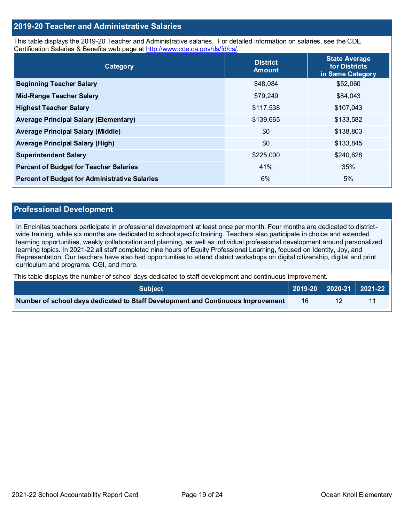### **2019-20 Teacher and Administrative Salaries**

This table displays the 2019-20 Teacher and Administrative salaries. For detailed information on salaries, see the CDE Certification Salaries & Benefits web page at [http://www.cde.ca.gov/ds/fd/cs/.](http://www.cde.ca.gov/ds/fd/cs/)

| Category                                             | <b>District</b><br><b>Amount</b> | <b>State Average</b><br>for Districts<br>in Same Category |
|------------------------------------------------------|----------------------------------|-----------------------------------------------------------|
| <b>Beginning Teacher Salary</b>                      | \$48,084                         | \$52,060                                                  |
| <b>Mid-Range Teacher Salary</b>                      | \$79,249                         | \$84,043                                                  |
| <b>Highest Teacher Salary</b>                        | \$117,538                        | \$107,043                                                 |
| <b>Average Principal Salary (Elementary)</b>         | \$139,665                        | \$133,582                                                 |
| <b>Average Principal Salary (Middle)</b>             | \$0                              | \$138,803                                                 |
| <b>Average Principal Salary (High)</b>               | \$0                              | \$133,845                                                 |
| <b>Superintendent Salary</b>                         | \$225,000                        | \$240,628                                                 |
| <b>Percent of Budget for Teacher Salaries</b>        | 41%                              | 35%                                                       |
| <b>Percent of Budget for Administrative Salaries</b> | 6%                               | 5%                                                        |

### **Professional Development**

In Encinitas teachers participate in professional development at least once per month. Four months are dedicated to districtwide training, while six months are dedicated to school specific training. Teachers also participate in choice and extended learning opportunities, weekly collaboration and planning, as well as individual professional development around personalized learning topics. In 2021-22 all staff completed nine hours of Equity Professional Learning, focused on Identity, Joy, and Representation. Our teachers have also had opportunities to attend district workshops on digital citizenship, digital and print curriculum and programs, CGI, and more.

This table displays the number of school days dedicated to staff development and continuous improvement.

| <b>Subject</b>                                                                  |  | $\vert$ 2019-20 $\vert$ 2020-21 $\vert$ 2021-22 $\vert$ |
|---------------------------------------------------------------------------------|--|---------------------------------------------------------|
| Number of school days dedicated to Staff Development and Continuous Improvement |  |                                                         |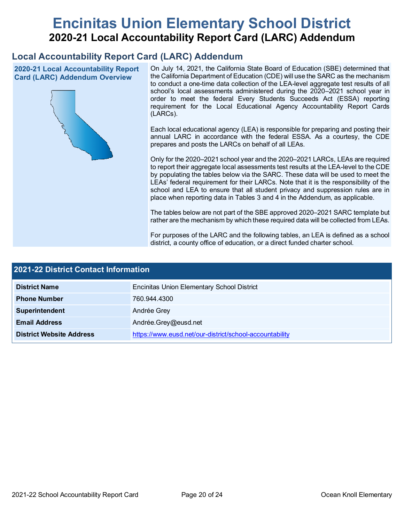# **Encinitas Union Elementary School District 2020-21 Local Accountability Report Card (LARC) Addendum**

# **Local Accountability Report Card (LARC) Addendum**

**2020-21 Local Accountability Report Card (LARC) Addendum Overview**



On July 14, 2021, the California State Board of Education (SBE) determined that the California Department of Education (CDE) will use the SARC as the mechanism to conduct a one-time data collection of the LEA-level aggregate test results of all school's local assessments administered during the 2020–2021 school year in order to meet the federal Every Students Succeeds Act (ESSA) reporting requirement for the Local Educational Agency Accountability Report Cards (LARCs).

Each local educational agency (LEA) is responsible for preparing and posting their annual LARC in accordance with the federal ESSA. As a courtesy, the CDE prepares and posts the LARCs on behalf of all LEAs.

Only for the 2020–2021 school year and the 2020–2021 LARCs, LEAs are required to report their aggregate local assessments test results at the LEA-level to the CDE by populating the tables below via the SARC. These data will be used to meet the LEAs' federal requirement for their LARCs. Note that it is the responsibility of the school and LEA to ensure that all student privacy and suppression rules are in place when reporting data in Tables 3 and 4 in the Addendum, as applicable.

The tables below are not part of the SBE approved 2020–2021 SARC template but rather are the mechanism by which these required data will be collected from LEAs.

For purposes of the LARC and the following tables, an LEA is defined as a school district, a county office of education, or a direct funded charter school.

| 2021-22 District Contact Information |                                                         |  |  |  |
|--------------------------------------|---------------------------------------------------------|--|--|--|
| <b>District Name</b>                 | <b>Encinitas Union Elementary School District</b>       |  |  |  |
| <b>Phone Number</b>                  | 760.944.4300                                            |  |  |  |
| Superintendent                       | Andrée Grey                                             |  |  |  |
| <b>Email Address</b>                 | Andrée.Grey@eusd.net                                    |  |  |  |
| <b>District Website Address</b>      | https://www.eusd.net/our-district/school-accountability |  |  |  |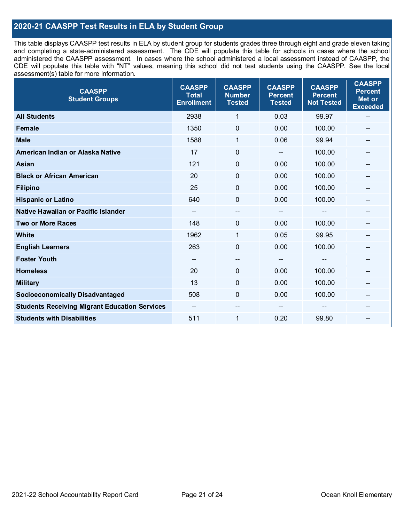### **2020-21 CAASPP Test Results in ELA by Student Group**

This table displays CAASPP test results in ELA by student group for students grades three through eight and grade eleven taking and completing a state-administered assessment. The CDE will populate this table for schools in cases where the school administered the CAASPP assessment. In cases where the school administered a local assessment instead of CAASPP, the CDE will populate this table with "NT" values, meaning this school did not test students using the CAASPP. See the local assessment(s) table for more information.

| <b>CAASPP</b><br><b>Student Groups</b>               | <b>CAASPP</b><br><b>Total</b><br><b>Enrollment</b> | <b>CAASPP</b><br><b>Number</b><br><b>Tested</b> | <b>CAASPP</b><br><b>Percent</b><br><b>Tested</b> | <b>CAASPP</b><br><b>Percent</b><br><b>Not Tested</b> | <b>CAASPP</b><br><b>Percent</b><br>Met or<br><b>Exceeded</b> |
|------------------------------------------------------|----------------------------------------------------|-------------------------------------------------|--------------------------------------------------|------------------------------------------------------|--------------------------------------------------------------|
| <b>All Students</b>                                  | 2938                                               | 1                                               | 0.03                                             | 99.97                                                | --                                                           |
| <b>Female</b>                                        | 1350                                               | $\mathbf 0$                                     | 0.00                                             | 100.00                                               |                                                              |
| <b>Male</b>                                          | 1588                                               | 1                                               | 0.06                                             | 99.94                                                | --                                                           |
| American Indian or Alaska Native                     | 17                                                 | $\pmb{0}$                                       | $-$                                              | 100.00                                               | --                                                           |
| <b>Asian</b>                                         | 121                                                | 0                                               | 0.00                                             | 100.00                                               | --                                                           |
| <b>Black or African American</b>                     | 20                                                 | $\mathbf 0$                                     | 0.00                                             | 100.00                                               |                                                              |
| <b>Filipino</b>                                      | 25                                                 | $\mathbf 0$                                     | 0.00                                             | 100.00                                               |                                                              |
| <b>Hispanic or Latino</b>                            | 640                                                | $\mathbf 0$                                     | 0.00                                             | 100.00                                               | --                                                           |
| Native Hawaiian or Pacific Islander                  | --                                                 | --                                              | --                                               | --                                                   | --                                                           |
| <b>Two or More Races</b>                             | 148                                                | 0                                               | 0.00                                             | 100.00                                               | --                                                           |
| <b>White</b>                                         | 1962                                               | 1                                               | 0.05                                             | 99.95                                                | --                                                           |
| <b>English Learners</b>                              | 263                                                | $\mathbf 0$                                     | 0.00                                             | 100.00                                               |                                                              |
| <b>Foster Youth</b>                                  | $\overline{\phantom{m}}$                           | $\hspace{0.05cm}$ $\hspace{0.05cm}$             | $\overline{\phantom{a}}$                         | $-$                                                  | $\qquad \qquad \blacksquare$                                 |
| <b>Homeless</b>                                      | 20                                                 | $\mathbf 0$                                     | 0.00                                             | 100.00                                               | --                                                           |
| <b>Military</b>                                      | 13                                                 | 0                                               | 0.00                                             | 100.00                                               | --                                                           |
| <b>Socioeconomically Disadvantaged</b>               | 508                                                | $\mathbf 0$                                     | 0.00                                             | 100.00                                               | --                                                           |
| <b>Students Receiving Migrant Education Services</b> | --                                                 | --                                              |                                                  |                                                      |                                                              |
| <b>Students with Disabilities</b>                    | 511                                                | $\mathbf{1}$                                    | 0.20                                             | 99.80                                                | --                                                           |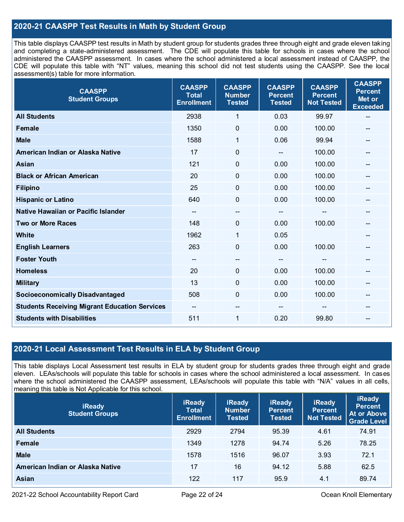### **2020-21 CAASPP Test Results in Math by Student Group**

This table displays CAASPP test results in Math by student group for students grades three through eight and grade eleven taking and completing a state-administered assessment. The CDE will populate this table for schools in cases where the school administered the CAASPP assessment. In cases where the school administered a local assessment instead of CAASPP, the CDE will populate this table with "NT" values, meaning this school did not test students using the CAASPP. See the local assessment(s) table for more information.

| <b>CAASPP</b><br><b>Student Groups</b>               | <b>CAASPP</b><br><b>Total</b><br><b>Enrollment</b> | <b>CAASPP</b><br><b>Number</b><br><b>Tested</b> | <b>CAASPP</b><br><b>Percent</b><br><b>Tested</b> | <b>CAASPP</b><br><b>Percent</b><br><b>Not Tested</b> | <b>CAASPP</b><br><b>Percent</b><br>Met or<br><b>Exceeded</b> |
|------------------------------------------------------|----------------------------------------------------|-------------------------------------------------|--------------------------------------------------|------------------------------------------------------|--------------------------------------------------------------|
| <b>All Students</b>                                  | 2938                                               | 1                                               | 0.03                                             | 99.97                                                | $-$                                                          |
| Female                                               | 1350                                               | $\mathbf 0$                                     | 0.00                                             | 100.00                                               |                                                              |
| <b>Male</b>                                          | 1588                                               | 1                                               | 0.06                                             | 99.94                                                | $\overline{a}$                                               |
| American Indian or Alaska Native                     | 17                                                 | $\pmb{0}$                                       |                                                  | 100.00                                               | --                                                           |
| <b>Asian</b>                                         | 121                                                | 0                                               | 0.00                                             | 100.00                                               | --                                                           |
| <b>Black or African American</b>                     | 20                                                 | $\mathbf 0$                                     | 0.00                                             | 100.00                                               |                                                              |
| <b>Filipino</b>                                      | 25                                                 | $\mathbf 0$                                     | 0.00                                             | 100.00                                               |                                                              |
| <b>Hispanic or Latino</b>                            | 640                                                | $\mathbf 0$                                     | 0.00                                             | 100.00                                               | --                                                           |
| Native Hawaiian or Pacific Islander                  | --                                                 | $\overline{\phantom{a}}$                        | --                                               | --                                                   | --                                                           |
| <b>Two or More Races</b>                             | 148                                                | 0                                               | 0.00                                             | 100.00                                               | --                                                           |
| White                                                | 1962                                               | 1                                               | 0.05                                             |                                                      | --                                                           |
| <b>English Learners</b>                              | 263                                                | 0                                               | 0.00                                             | 100.00                                               |                                                              |
| <b>Foster Youth</b>                                  | --                                                 | $\hspace{0.05cm}$ – $\hspace{0.05cm}$           | --                                               | $\mathbf{m}$                                         | --                                                           |
| <b>Homeless</b>                                      | 20                                                 | $\mathbf 0$                                     | 0.00                                             | 100.00                                               | --                                                           |
| <b>Military</b>                                      | 13                                                 | $\mathbf 0$                                     | 0.00                                             | 100.00                                               |                                                              |
| <b>Socioeconomically Disadvantaged</b>               | 508                                                | $\Omega$                                        | 0.00                                             | 100.00                                               | --                                                           |
| <b>Students Receiving Migrant Education Services</b> | --                                                 | --                                              |                                                  |                                                      |                                                              |
| <b>Students with Disabilities</b>                    | 511                                                | 1                                               | 0.20                                             | 99.80                                                | $-$                                                          |

### **2020-21 Local Assessment Test Results in ELA by Student Group**

This table displays Local Assessment test results in ELA by student group for students grades three through eight and grade eleven. LEAs/schools will populate this table for schools in cases where the school administered a local assessment. In cases where the school administered the CAASPP assessment, LEAs/schools will populate this table with "N/A" values in all cells, meaning this table is Not Applicable for this school.

| <b>iReady</b><br><b>Student Groups</b> | <b>iReady</b><br><b>Total</b><br><b>Enrollment</b> | <b>iReady</b><br><b>Number</b><br><b>Tested</b> | <b>iReady</b><br><b>Percent</b><br><b>Tested</b> | <b>iReady</b><br><b>Percent</b><br><b>Not Tested</b> | <b>iReady</b><br><b>Percent</b><br>At or Above<br>Grade Level |
|----------------------------------------|----------------------------------------------------|-------------------------------------------------|--------------------------------------------------|------------------------------------------------------|---------------------------------------------------------------|
| <b>All Students</b>                    | 2929                                               | 2794                                            | 95.39                                            | 4.61                                                 | 74.91                                                         |
| Female                                 | 1349                                               | 1278                                            | 94.74                                            | 5.26                                                 | 78.25                                                         |
| <b>Male</b>                            | 1578                                               | 1516                                            | 96.07                                            | 3.93                                                 | 72.1                                                          |
| American Indian or Alaska Native       | 17                                                 | 16                                              | 94.12                                            | 5.88                                                 | 62.5                                                          |
| <b>Asian</b>                           | 122                                                | 117                                             | 95.9                                             | 4.1                                                  | 89.74                                                         |

2021-22 School Accountability Report Card Page 22 of 24 Ocean Knoll Elementary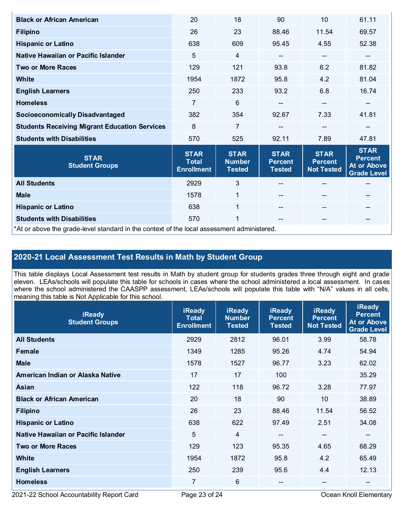| <b>Black or African American</b>                                                           | 20                                               | 18                                            | 90                                             | 10                                                 | 61.11                                                                     |  |
|--------------------------------------------------------------------------------------------|--------------------------------------------------|-----------------------------------------------|------------------------------------------------|----------------------------------------------------|---------------------------------------------------------------------------|--|
| <b>Filipino</b>                                                                            | 26                                               | 23                                            | 88.46                                          | 11.54                                              | 69.57                                                                     |  |
| <b>Hispanic or Latino</b>                                                                  | 638                                              | 609                                           | 95.45                                          | 4.55                                               | 52.38                                                                     |  |
| Native Hawaiian or Pacific Islander                                                        | 5                                                | $\overline{4}$                                | --                                             | $\qquad \qquad \blacksquare$                       | --                                                                        |  |
| <b>Two or More Races</b>                                                                   | 129                                              | 121                                           | 93.8                                           | 6.2                                                | 81.82                                                                     |  |
| <b>White</b>                                                                               | 1954                                             | 1872                                          | 95.8                                           | 4.2                                                | 81.04                                                                     |  |
| <b>English Learners</b>                                                                    | 250                                              | 233                                           | 93.2                                           | 6.8                                                | 16.74                                                                     |  |
| <b>Homeless</b>                                                                            | 7                                                | 6                                             | --                                             | $-$                                                | --                                                                        |  |
| <b>Socioeconomically Disadvantaged</b>                                                     | 382                                              | 354                                           | 92.67                                          | 7.33                                               | 41.81                                                                     |  |
| <b>Students Receiving Migrant Education Services</b>                                       | 8                                                | $\overline{7}$                                |                                                |                                                    |                                                                           |  |
| <b>Students with Disabilities</b>                                                          | 570                                              | 525                                           | 92.11                                          | 7.89                                               | 47.81                                                                     |  |
| <b>STAR</b><br><b>Student Groups</b>                                                       | <b>STAR</b><br><b>Total</b><br><b>Enrollment</b> | <b>STAR</b><br><b>Number</b><br><b>Tested</b> | <b>STAR</b><br><b>Percent</b><br><b>Tested</b> | <b>STAR</b><br><b>Percent</b><br><b>Not Tested</b> | <b>STAR</b><br><b>Percent</b><br><b>At or Above</b><br><b>Grade Level</b> |  |
| <b>All Students</b>                                                                        | 2929                                             | $\mathfrak{S}$                                |                                                |                                                    | --                                                                        |  |
| <b>Male</b>                                                                                | 1578                                             | $\mathbf{1}$                                  |                                                | $\qquad \qquad -$                                  | --                                                                        |  |
| <b>Hispanic or Latino</b>                                                                  | 638                                              | $\mathbf{1}$                                  |                                                | $\qquad \qquad -$                                  | --                                                                        |  |
| <b>Students with Disabilities</b>                                                          | 570                                              | 1                                             | --                                             | $- -$                                              | --                                                                        |  |
| *At or above the grade-level standard in the context of the local assessment administered. |                                                  |                                               |                                                |                                                    |                                                                           |  |

# **2020-21 Local Assessment Test Results in Math by Student Group**

This table displays Local Assessment test results in Math by student group for students grades three through eight and grade eleven. LEAs/schools will populate this table for schools in cases where the school administered a local assessment. In cases where the school administered the CAASPP assessment, LEAs/schools will populate this table with "N/A" values in all cells, meaning this table is Not Applicable for this school.

| <b>iReady</b><br><b>Student Groups</b> | <b>iReady</b><br><b>Total</b><br><b>Enrollment</b> | <b>iReady</b><br><b>Number</b><br><b>Tested</b> | <b>iReady</b><br><b>Percent</b><br><b>Tested</b> | <b>iReady</b><br><b>Percent</b><br><b>Not Tested</b> | <b>iReady</b><br><b>Percent</b><br><b>At or Above</b><br><b>Grade Level</b> |
|----------------------------------------|----------------------------------------------------|-------------------------------------------------|--------------------------------------------------|------------------------------------------------------|-----------------------------------------------------------------------------|
| <b>All Students</b>                    | 2929                                               | 2812                                            | 96.01                                            | 3.99                                                 | 58.78                                                                       |
| Female                                 | 1349                                               | 1285                                            | 95.26                                            | 4.74                                                 | 54.94                                                                       |
| <b>Male</b>                            | 1578                                               | 1527                                            | 96.77                                            | 3.23                                                 | 62.02                                                                       |
| American Indian or Alaska Native       | 17                                                 | 17                                              | 100                                              |                                                      | 35.29                                                                       |
| Asian                                  | 122                                                | 118                                             | 96.72                                            | 3.28                                                 | 77.97                                                                       |
| <b>Black or African American</b>       | 20                                                 | 18                                              | 90                                               | 10                                                   | 38.89                                                                       |
| <b>Filipino</b>                        | 26                                                 | 23                                              | 88.46                                            | 11.54                                                | 56.52                                                                       |
| <b>Hispanic or Latino</b>              | 638                                                | 622                                             | 97.49                                            | 2.51                                                 | 34.08                                                                       |
| Native Hawaiian or Pacific Islander    | 5                                                  | $\overline{4}$                                  | $\overline{\phantom{a}}$                         | $\overline{\phantom{a}}$                             | --                                                                          |
| <b>Two or More Races</b>               | 129                                                | 123                                             | 95.35                                            | 4.65                                                 | 68.29                                                                       |
| <b>White</b>                           | 1954                                               | 1872                                            | 95.8                                             | 4.2                                                  | 65.49                                                                       |
| <b>English Learners</b>                | 250                                                | 239                                             | 95.6                                             | 4.4                                                  | 12.13                                                                       |
| <b>Homeless</b>                        | 7                                                  | 6                                               |                                                  | --                                                   | $\qquad \qquad \qquad -$                                                    |